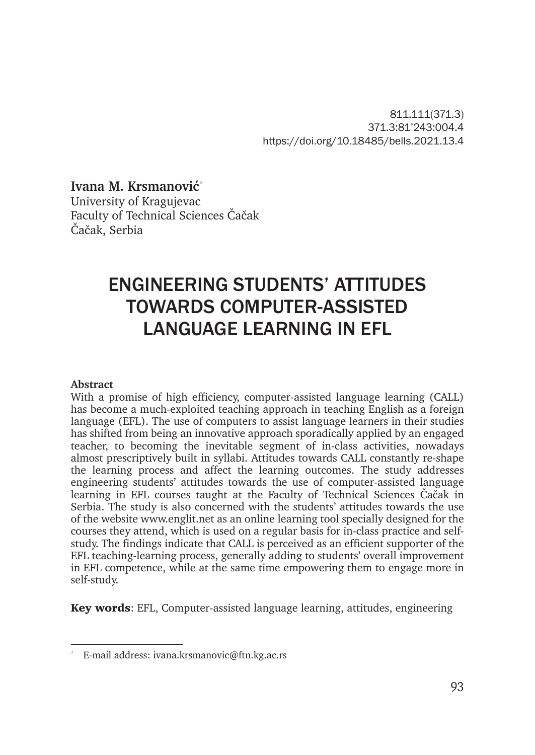811.111(371.3) 371.3:81'243:004.4 https://doi.org/10.18485/bells.2021.13.4

**Ivana M. Krsmanović**\*

University of Kragujevac Faculty of Technical Sciences Čačak Čačak, Serbia

# ENGINEERING STUDENTS' ATTITUDES TOWARDS COMPUTER-ASSISTED LANGUAGE LEARNING IN EFL

#### **Abstract**

With a promise of high efficiency, computer-assisted language learning (CALL) has become a much-exploited teaching approach in teaching English as a foreign language (EFL). The use of computers to assist language learners in their studies has shifted from being an innovative approach sporadically applied by an engaged teacher, to becoming the inevitable segment of in-class activities, nowadays almost prescriptively built in syllabi. Attitudes towards CALL constantly re-shape the learning process and affect the learning outcomes. The study addresses engineering students' attitudes towards the use of computer-assisted language learning in EFL courses taught at the Faculty of Technical Sciences Čačak in Serbia. The study is also concerned with the students' attitudes towards the use of the website www.englit.net as an online learning tool specially designed for the courses they attend, which is used on a regular basis for in-class practice and selfstudy. The findings indicate that CALL is perceived as an efficient supporter of the EFL teaching-learning process, generally adding to students' overall improvement in EFL competence, while at the same time empowering them to engage more in self-study.

Key words: EFL, Computer-assisted language learning, attitudes, engineering

<sup>\*</sup> E-mail address: ivana.krsmanovic@ftn.kg.ac.rs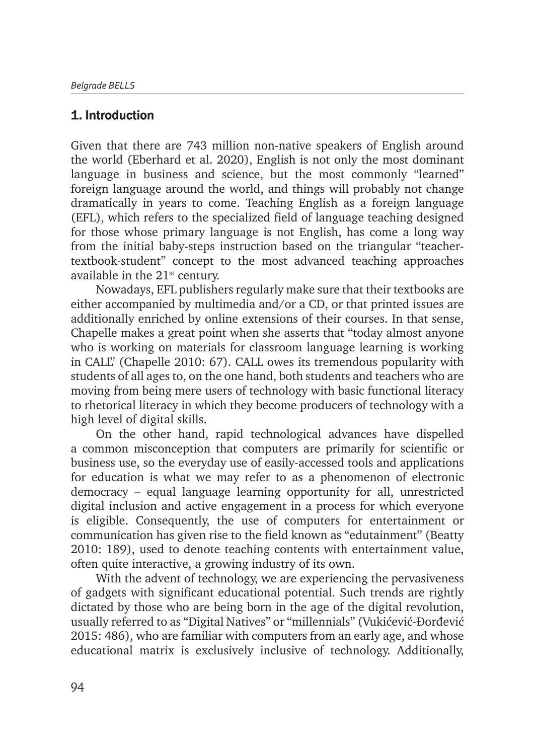### 1. Introduction

Given that there are 743 million non-native speakers of English around the world (Eberhard et al. 2020), English is not only the most dominant language in business and science, but the most commonly "learned" foreign language around the world, and things will probably not change dramatically in years to come. Teaching English as a foreign language (EFL), which refers to the specialized field of language teaching designed for those whose primary language is not English, has come a long way from the initial baby-steps instruction based on the triangular "teachertextbook-student" concept to the most advanced teaching approaches available in the  $21<sup>st</sup>$  century.

Nowadays, EFL publishers regularly make sure that their textbooks are either accompanied by multimedia and/or a CD, or that printed issues are additionally enriched by online extensions of their courses. In that sense, Chapelle makes a great point when she asserts that "today almost anyone who is working on materials for classroom language learning is working in CALL" (Chapelle 2010: 67). CALL owes its tremendous popularity with students of all ages to, on the one hand, both students and teachers who are moving from being mere users of technology with basic functional literacy to rhetorical literacy in which they become producers of technology with a high level of digital skills.

On the other hand, rapid technological advances have dispelled a common misconception that computers are primarily for scientific or business use, so the everyday use of easily-accessed tools and applications for education is what we may refer to as a phenomenon of electronic democracy – equal language learning opportunity for all, unrestricted digital inclusion and active engagement in a process for which everyone is eligible. Consequently, the use of computers for entertainment or communication has given rise to the field known as "edutainment" (Beatty 2010: 189), used to denote teaching contents with entertainment value, often quite interactive, a growing industry of its own.

With the advent of technology, we are experiencing the pervasiveness of gadgets with significant educational potential. Such trends are rightly dictated by those who are being born in the age of the digital revolution, usually referred to as "Digital Natives" or "millennials" (Vukićević-Ðorđević 2015: 486), who are familiar with computers from an early age, and whose educational matrix is exclusively inclusive of technology. Additionally,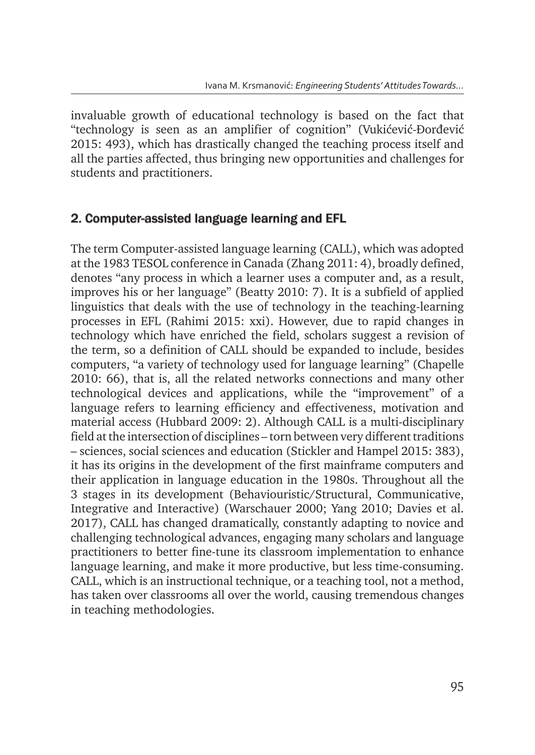invaluable growth of educational technology is based on the fact that "technology is seen as an amplifier of cognition" (Vukićević-Ðorđević 2015: 493), which has drastically changed the teaching process itself and all the parties affected, thus bringing new opportunities and challenges for students and practitioners.

#### 2. Computer-assisted language learning and EFL

The term Computer-assisted language learning (CALL), which was adopted at the 1983 TESOL conference in Canada (Zhang 2011: 4), broadly defined, denotes "any process in which a learner uses a computer and, as a result, improves his or her language" (Beatty 2010: 7). It is a subfield of applied linguistics that deals with the use of technology in the teaching-learning processes in EFL (Rahimi 2015: xxi). However, due to rapid changes in technology which have enriched the field, scholars suggest a revision of the term, so a definition of CALL should be expanded to include, besides computers, "a variety of technology used for language learning" (Chapelle 2010: 66), that is, all the related networks connections and many other technological devices and applications, while the "improvement" of a language refers to learning efficiency and effectiveness, motivation and material access (Hubbard 2009: 2). Although CALL is a multi-disciplinary field at the intersection of disciplines – torn between very different traditions – sciences, social sciences and education (Stickler and Hampel 2015: 383), it has its origins in the development of the first mainframe computers and their application in language education in the 1980s. Throughout all the 3 stages in its development (Behaviouristic/Structural, Communicative, Integrative and Interactive) (Warschauer 2000; Yang 2010; Davies et al. 2017), CALL has changed dramatically, constantly adapting to novice and challenging technological advances, engaging many scholars and language practitioners to better fine-tune its classroom implementation to enhance language learning, and make it more productive, but less time-consuming. CALL, which is an instructional technique, or a teaching tool, not a method, has taken over classrooms all over the world, causing tremendous changes in teaching methodologies.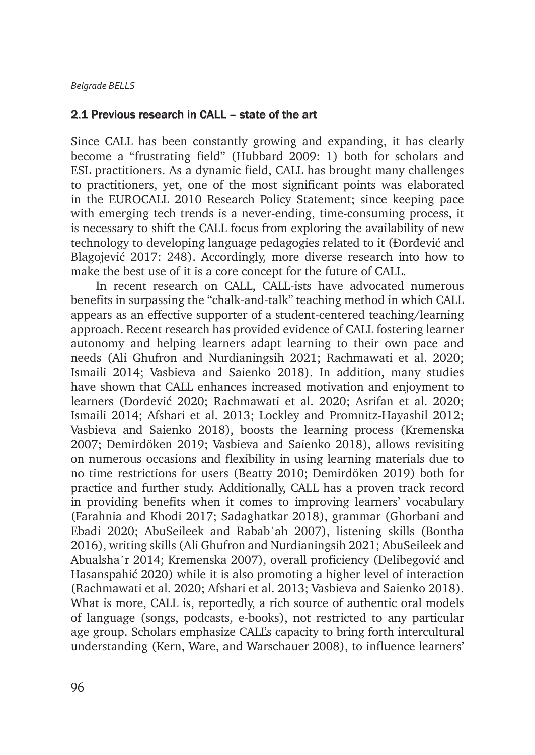#### 2.1 Previous research in CALL – state of the art

Since CALL has been constantly growing and expanding, it has clearly become a "frustrating field" (Hubbard 2009: 1) both for scholars and ESL practitioners. As a dynamic field, CALL has brought many challenges to practitioners, yet, one of the most significant points was elaborated in the EUROCALL 2010 Research Policy Statement; since keeping pace with emerging tech trends is a never-ending, time-consuming process, it is necessary to shift the CALL focus from exploring the availability of new technology to developing language pedagogies related to it (Ðorđević and Blagojević 2017: 248). Accordingly, more diverse research into how to make the best use of it is a core concept for the future of CALL.

In recent research on CALL, CALL-ists have advocated numerous benefits in surpassing the "chalk-and-talk" teaching method in which CALL appears as an effective supporter of a student-centered teaching/learning approach. Recent research has provided evidence of CALL fostering learner autonomy and helping learners adapt learning to their own pace and needs (Ali Ghufron and Nurdianingsih 2021; Rachmawati et al. 2020; Ismaili 2014; Vasbieva and Saienko 2018). In addition, many studies have shown that CALL enhances increased motivation and enjoyment to learners (Ðorđević 2020; Rachmawati et al. 2020; Asrifan et al. 2020; Ismaili 2014; Afshari et al. 2013; Lockley and Promnitz-Hayashil 2012; Vasbieva and Saienko 2018), boosts the learning process (Kremenska 2007; Demirdöken 2019; Vasbieva and Saienko 2018), allows revisiting on numerous occasions and flexibility in using learning materials due to no time restrictions for users (Beatty 2010; Demirdöken 2019) both for practice and further study. Additionally, CALL has a proven track record in providing benefits when it comes to improving learners' vocabulary (Farahnia and Khodi 2017; Sadaghatkar 2018), grammar (Ghorbani and Ebadi 2020; AbuSeileek and Rabab'ah 2007), listening skills (Bontha 2016), writing skills (Ali Ghufron and Nurdianingsih 2021; AbuSeileek and Abualsha᾿r 2014; Kremenska 2007), overall proficiency (Delibegović and Hasanspahić 2020) while it is also promoting a higher level of interaction (Rachmawati et al. 2020; Afshari et al. 2013; Vasbieva and Saienko 2018). What is more, CALL is, reportedly, a rich source of authentic oral models of language (songs, podcasts, e-books), not restricted to any particular age group. Scholars emphasize CALL's capacity to bring forth intercultural understanding (Kern, Ware, and Warschauer 2008), to influence learners'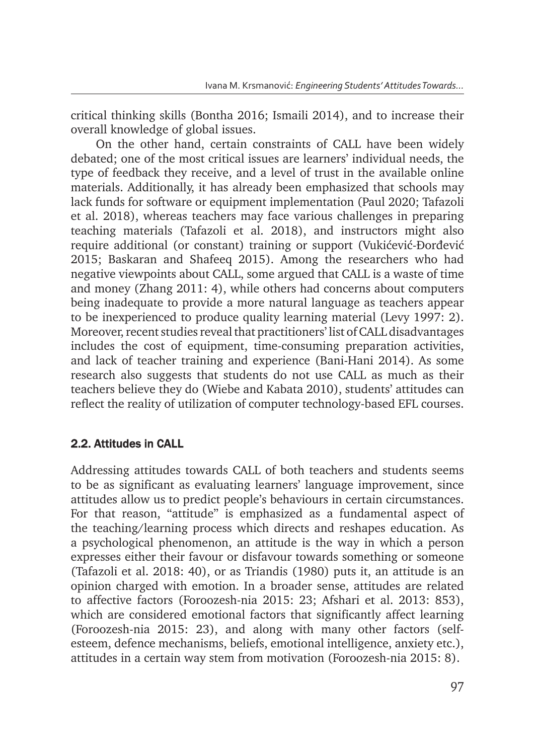critical thinking skills (Bontha 2016; Ismaili 2014), and to increase their overall knowledge of global issues.

On the other hand, certain constraints of CALL have been widely debated; one of the most critical issues are learners' individual needs, the type of feedback they receive, and a level of trust in the available online materials. Additionally, it has already been emphasized that schools may lack funds for software or equipment implementation (Paul 2020; Tafazoli et al. 2018), whereas teachers may face various challenges in preparing teaching materials (Tafazoli et al. 2018), and instructors might also require additional (or constant) training or support (Vukićević-Ðorđević 2015; Baskaran and Shafeeq 2015). Among the researchers who had negative viewpoints about CALL, some argued that CALL is a waste of time and money (Zhang 2011: 4), while others had concerns about computers being inadequate to provide a more natural language as teachers appear to be inexperienced to produce quality learning material (Levy 1997: 2). Moreover, recent studies reveal that practitioners' list of CALL disadvantages includes the cost of equipment, time-consuming preparation activities, and lack of teacher training and experience (Bani-Hani 2014). As some research also suggests that students do not use CALL as much as their teachers believe they do (Wiebe and Kabata 2010), students' attitudes can reflect the reality of utilization of computer technology-based EFL courses.

#### 2.2. Attitudes in CALL

Addressing attitudes towards CALL of both teachers and students seems to be as significant as evaluating learners' language improvement, since attitudes allow us to predict people's behaviours in certain circumstances. For that reason, "attitude" is emphasized as a fundamental aspect of the teaching/learning process which directs and reshapes education. As a psychological phenomenon, an attitude is the way in which a person expresses either their favour or disfavour towards something or someone (Tafazoli et al. 2018: 40), or as Triandis (1980) puts it, an attitude is an opinion charged with emotion. In a broader sense, attitudes are related to affective factors (Foroozesh-nia 2015: 23; Afshari et al. 2013: 853), which are considered emotional factors that significantly affect learning (Foroozesh-nia 2015: 23), and along with many other factors (selfesteem, defence mechanisms, beliefs, emotional intelligence, anxiety etc.), attitudes in a certain way stem from motivation (Foroozesh-nia 2015: 8).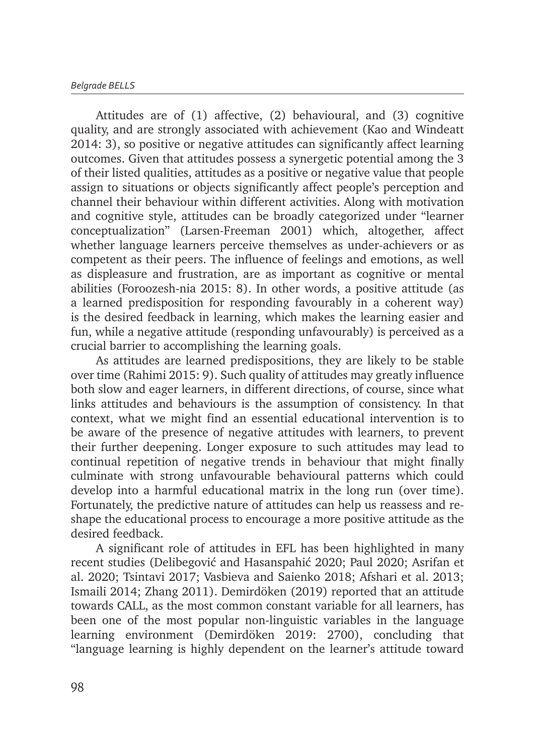Attitudes are of (1) affective, (2) behavioural, and (3) cognitive quality, and are strongly associated with achievement (Kao and Windeatt 2014: 3), so positive or negative attitudes can significantly affect learning outcomes. Given that attitudes possess a synergetic potential among the 3 of their listed qualities, attitudes as a positive or negative value that people assign to situations or objects significantly affect people's perception and channel their behaviour within different activities. Along with motivation and cognitive style, attitudes can be broadly categorized under "learner conceptualization" (Larsen-Freeman 2001) which, altogether, affect whether language learners perceive themselves as under-achievers or as competent as their peers. The influence of feelings and emotions, as well as displeasure and frustration, are as important as cognitive or mental abilities (Foroozesh-nia 2015: 8). In other words, a positive attitude (as a learned predisposition for responding favourably in a coherent way) is the desired feedback in learning, which makes the learning easier and fun, while a negative attitude (responding unfavourably) is perceived as a crucial barrier to accomplishing the learning goals.

As attitudes are learned predispositions, they are likely to be stable over time (Rahimi 2015: 9). Such quality of attitudes may greatly influence both slow and eager learners, in different directions, of course, since what links attitudes and behaviours is the assumption of consistency. In that context, what we might find an essential educational intervention is to be aware of the presence of negative attitudes with learners, to prevent their further deepening. Longer exposure to such attitudes may lead to continual repetition of negative trends in behaviour that might finally culminate with strong unfavourable behavioural patterns which could develop into a harmful educational matrix in the long run (over time). Fortunately, the predictive nature of attitudes can help us reassess and reshape the educational process to encourage a more positive attitude as the desired feedback.

A significant role of attitudes in EFL has been highlighted in many recent studies (Delibegović and Hasanspahić 2020; Paul 2020; Asrifan et al. 2020; Tsintavi 2017; Vasbieva and Saienko 2018; Afshari et al. 2013; Ismaili 2014; Zhang 2011). Demirdöken (2019) reported that an attitude towards CALL, as the most common constant variable for all learners, has been one of the most popular non-linguistic variables in the language learning environment (Demirdöken 2019: 2700), concluding that "language learning is highly dependent on the learner's attitude toward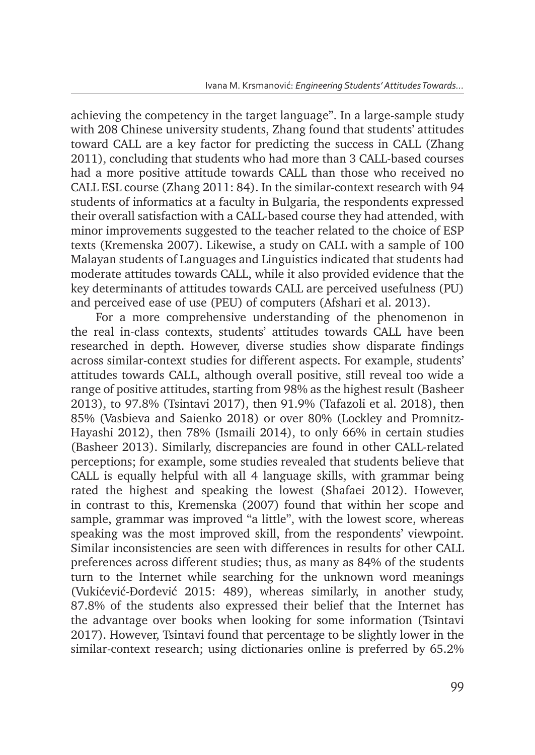achieving the competency in the target language". In a large-sample study with 208 Chinese university students, Zhang found that students' attitudes toward CALL are a key factor for predicting the success in CALL (Zhang 2011), concluding that students who had more than 3 CALL-based courses had a more positive attitude towards CALL than those who received no CALL ESL course (Zhang 2011: 84). In the similar-context research with 94 students of informatics at a faculty in Bulgaria, the respondents expressed their overall satisfaction with a CALL-based course they had attended, with minor improvements suggested to the teacher related to the choice of ESP texts (Kremenska 2007). Likewise, a study on CALL with a sample of 100 Malayan students of Languages and Linguistics indicated that students had moderate attitudes towards CALL, while it also provided evidence that the key determinants of attitudes towards CALL are perceived usefulness (PU) and perceived ease of use (PEU) of computers (Afshari et al. 2013).

For a more comprehensive understanding of the phenomenon in the real in-class contexts, students' attitudes towards CALL have been researched in depth. However, diverse studies show disparate findings across similar-context studies for different aspects. For example, students' attitudes towards CALL, although overall positive, still reveal too wide a range of positive attitudes, starting from 98% as the highest result (Basheer 2013), to 97.8% (Tsintavi 2017), then 91.9% (Tafazoli et al. 2018), then 85% (Vasbieva and Saienko 2018) or over 80% (Lockley and Promnitz-Hayashi 2012), then 78% (Ismaili 2014), to only 66% in certain studies (Basheer 2013). Similarly, discrepancies are found in other CALL-related perceptions; for example, some studies revealed that students believe that CALL is equally helpful with all 4 language skills, with grammar being rated the highest and speaking the lowest (Shafaei 2012). However, in contrast to this, Kremenska (2007) found that within her scope and sample, grammar was improved "a little", with the lowest score, whereas speaking was the most improved skill, from the respondents' viewpoint. Similar inconsistencies are seen with differences in results for other CALL preferences across different studies; thus, as many as 84% of the students turn to the Internet while searching for the unknown word meanings (Vukićević-Ðorđević 2015: 489), whereas similarly, in another study, 87.8% of the students also expressed their belief that the Internet has the advantage over books when looking for some information (Tsintavi 2017). However, Tsintavi found that percentage to be slightly lower in the similar-context research; using dictionaries online is preferred by 65.2%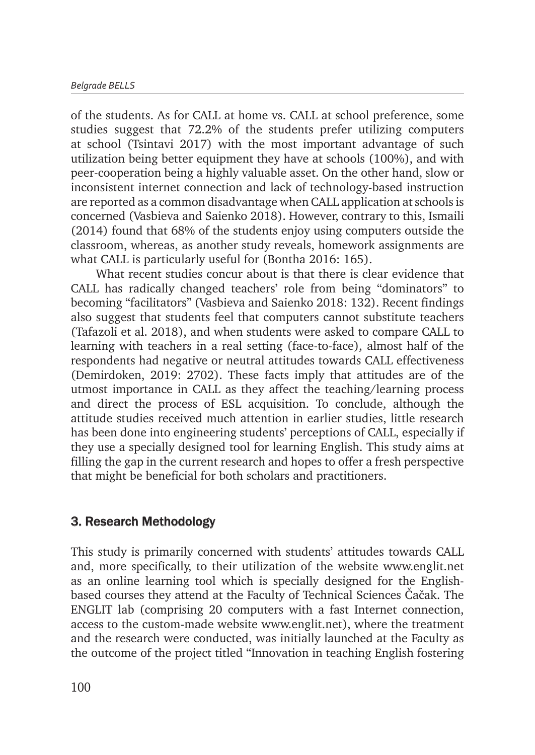of the students. As for CALL at home vs. CALL at school preference, some studies suggest that 72.2% of the students prefer utilizing computers at school (Tsintavi 2017) with the most important advantage of such utilization being better equipment they have at schools (100%), and with peer-cooperation being a highly valuable asset. On the other hand, slow or inconsistent internet connection and lack of technology-based instruction are reported as a common disadvantage when CALL application at schools is concerned (Vasbieva and Saienko 2018). However, contrary to this, Ismaili (2014) found that 68% of the students enjoy using computers outside the classroom, whereas, as another study reveals, homework assignments are what CALL is particularly useful for (Bontha 2016: 165).

What recent studies concur about is that there is clear evidence that CALL has radically changed teachers' role from being "dominators" to becoming "facilitators" (Vasbieva and Saienko 2018: 132). Recent findings also suggest that students feel that computers cannot substitute teachers (Tafazoli et al. 2018), and when students were asked to compare CALL to learning with teachers in a real setting (face-to-face), almost half of the respondents had negative or neutral attitudes towards CALL effectiveness (Demirdoken, 2019: 2702). These facts imply that attitudes are of the utmost importance in CALL as they affect the teaching/learning process and direct the process of ESL acquisition. To conclude, although the attitude studies received much attention in earlier studies, little research has been done into engineering students' perceptions of CALL, especially if they use a specially designed tool for learning English. This study aims at filling the gap in the current research and hopes to offer a fresh perspective that might be beneficial for both scholars and practitioners.

#### 3. Research Methodology

This study is primarily concerned with students' attitudes towards CALL and, more specifically, to their utilization of the website www.englit.net as an online learning tool which is specially designed for the Englishbased courses they attend at the Faculty of Technical Sciences Čačak. The ENGLIT lab (comprising 20 computers with a fast Internet connection, access to the custom-made website www.englit.net), where the treatment and the research were conducted, was initially launched at the Faculty as the outcome of the project titled "Innovation in teaching English fostering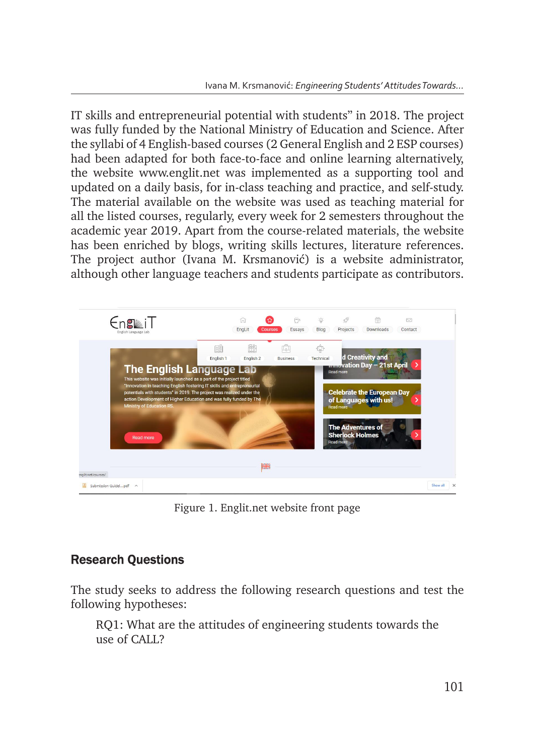IT skills and entrepreneurial potential with students" in 2018. The project was fully funded by the National Ministry of Education and Science. After the syllabi of 4 English-based courses (2 General English and 2 ESP courses) had been adapted for both face-to-face and online learning alternatively, the website www.englit.net was implemented as a supporting tool and updated on a daily basis, for in-class teaching and practice, and self-study. The material available on the website was used as teaching material for all the listed courses, regularly, every week for 2 semesters throughout the academic year 2019. Apart from the course-related materials, the website has been enriched by blogs, writing skills lectures, literature references. The project author (Ivana M. Krsmanović) is a website administrator, although other language teachers and students participate as contributors. teachers and students participate as contributors.



Figure 1. Englit.net website front page Figure 1. Englit.net website front page

## Research Questions

The study seeks to address the following research questions and test the following hypotheses: The study seeks to address the following research questions and test the following hypotheses:

RQ1: What are the attitudes of engineering students towards the where of CALL?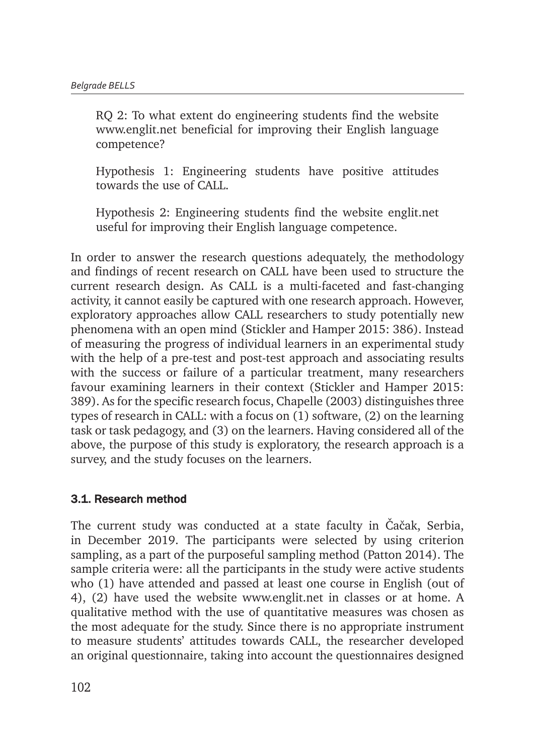RQ 2: To what extent do engineering students find the website www.englit.net beneficial for improving their English language competence?

Hypothesis 1: Engineering students have positive attitudes towards the use of CALL.

Hypothesis 2: Engineering students find the website englit.net useful for improving their English language competence.

In order to answer the research questions adequately, the methodology and findings of recent research on CALL have been used to structure the current research design. As CALL is a multi-faceted and fast-changing activity, it cannot easily be captured with one research approach. However, exploratory approaches allow CALL researchers to study potentially new phenomena with an open mind (Stickler and Hamper 2015: 386). Instead of measuring the progress of individual learners in an experimental study with the help of a pre-test and post-test approach and associating results with the success or failure of a particular treatment, many researchers favour examining learners in their context (Stickler and Hamper 2015: 389). As for the specific research focus, Chapelle (2003) distinguishes three types of research in CALL: with a focus on (1) software, (2) on the learning task or task pedagogy, and (3) on the learners. Having considered all of the above, the purpose of this study is exploratory, the research approach is a survey, and the study focuses on the learners.

#### 3.1. Research method

The current study was conducted at a state faculty in Čačak, Serbia, in December 2019. The participants were selected by using criterion sampling, as a part of the purposeful sampling method (Patton 2014). The sample criteria were: all the participants in the study were active students who (1) have attended and passed at least one course in English (out of 4), (2) have used the website www.englit.net in classes or at home. A qualitative method with the use of quantitative measures was chosen as the most adequate for the study. Since there is no appropriate instrument to measure students' attitudes towards CALL, the researcher developed an original questionnaire, taking into account the questionnaires designed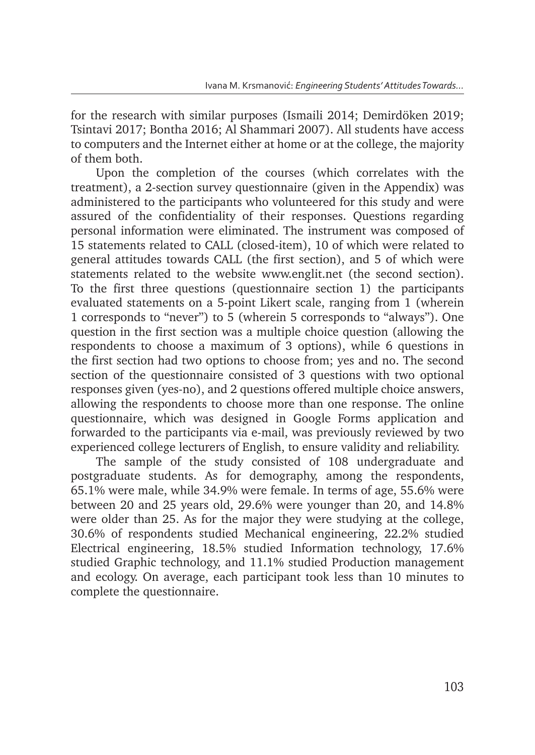for the research with similar purposes (Ismaili 2014; Demirdöken 2019; Tsintavi 2017; Bontha 2016; Al Shammari 2007). All students have access to computers and the Internet either at home or at the college, the majority of them both.

Upon the completion of the courses (which correlates with the treatment), a 2-section survey questionnaire (given in the Appendix) was administered to the participants who volunteered for this study and were assured of the confidentiality of their responses. Questions regarding personal information were eliminated. The instrument was composed of 15 statements related to CALL (closed-item), 10 of which were related to general attitudes towards CALL (the first section), and 5 of which were statements related to the website www.englit.net (the second section). To the first three questions (questionnaire section 1) the participants evaluated statements on a 5-point Likert scale, ranging from 1 (wherein 1 corresponds to "never") to 5 (wherein 5 corresponds to "always"). One question in the first section was a multiple choice question (allowing the respondents to choose a maximum of 3 options), while 6 questions in the first section had two options to choose from; yes and no. The second section of the questionnaire consisted of 3 questions with two optional responses given (yes-no), and 2 questions offered multiple choice answers, allowing the respondents to choose more than one response. The online questionnaire, which was designed in Google Forms application and forwarded to the participants via e-mail, was previously reviewed by two experienced college lecturers of English, to ensure validity and reliability.

The sample of the study consisted of 108 undergraduate and postgraduate students. As for demography, among the respondents, 65.1% were male, while 34.9% were female. In terms of age, 55.6% were between 20 and 25 years old, 29.6% were younger than 20, and 14.8% were older than 25. As for the major they were studying at the college, 30.6% of respondents studied Mechanical engineering, 22.2% studied Electrical engineering, 18.5% studied Information technology, 17.6% studied Graphic technology, and 11.1% studied Production management and ecology. On average, each participant took less than 10 minutes to complete the questionnaire.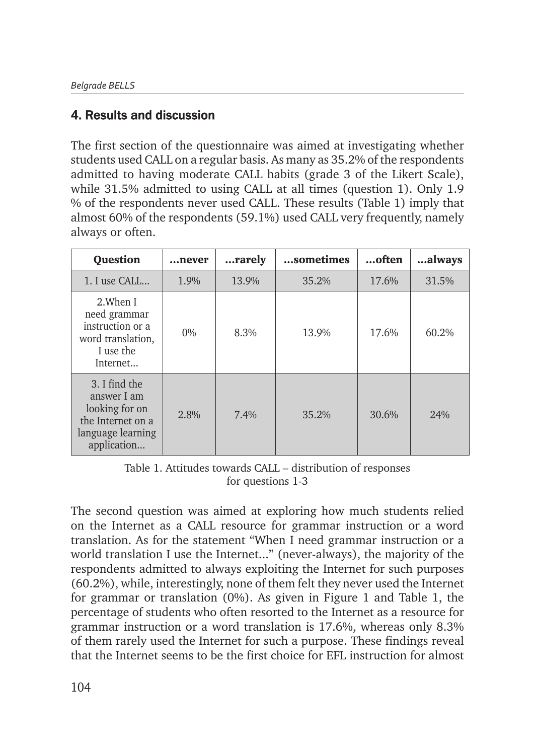## 4. Results and discussion

The first section of the questionnaire was aimed at investigating whether students used CALL on a regular basis. As many as 35.2% of the respondents admitted to having moderate CALL habits (grade 3 of the Likert Scale), while 31.5% admitted to using CALL at all times (question 1). Only 1.9 % of the respondents never used CALL. These results (Table 1) imply that almost 60% of the respondents (59.1%) used CALL very frequently, namely always or often.

| <b>Question</b>                                                                                         | …never  | rarely | sometimes | often | always |
|---------------------------------------------------------------------------------------------------------|---------|--------|-----------|-------|--------|
| 1. I use CALL                                                                                           | 1.9%    | 13.9%  | 35.2%     | 17.6% | 31.5%  |
| 2. When I<br>need grammar<br>instruction or a<br>word translation,<br>I use the<br>Internet             | $0\%$   | 8.3%   | 13.9%     | 17.6% | 60.2%  |
| 3. I find the<br>answer I am<br>looking for on<br>the Internet on a<br>language learning<br>application | $2.8\%$ | 7.4%   | 35.2%     | 30.6% | 24%    |

Table 1. Attitudes towards CALL – distribution of responses for questions 1-3

The second question was aimed at exploring how much students relied on the Internet as a CALL resource for grammar instruction or a word translation. As for the statement "When I need grammar instruction or a world translation I use the Internet..." (never-always), the majority of the respondents admitted to always exploiting the Internet for such purposes (60.2%), while, interestingly, none of them felt they never used the Internet for grammar or translation (0%). As given in Figure 1 and Table 1, the percentage of students who often resorted to the Internet as a resource for grammar instruction or a word translation is 17.6%, whereas only 8.3% of them rarely used the Internet for such a purpose. These findings reveal that the Internet seems to be the first choice for EFL instruction for almost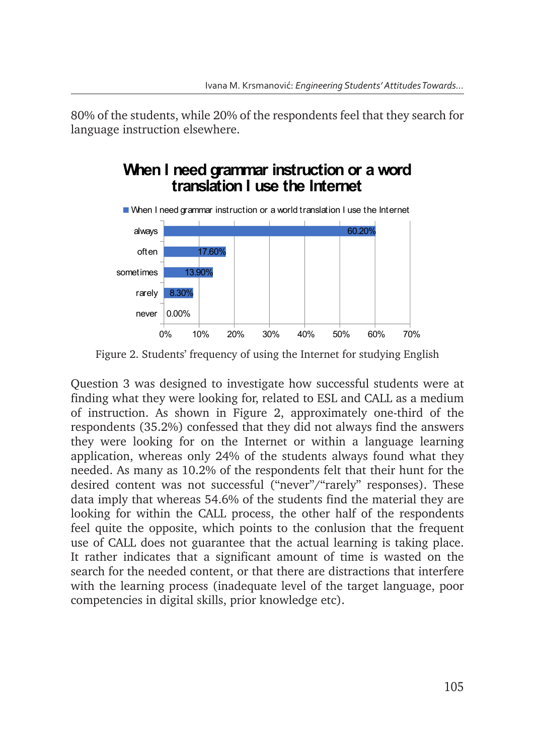80% of the students, while 20% of the respondents feel that they search for language instruction elsewhere.

## **When I need grammar instruction or a word translation I use the Internet**



Figure 2. Students' frequency of using the Internet for studying English Figure 2. Students' frequency of using the Internet for studying English

Question 3 was designed to investigate how successful students were at finding what they were looking for, related to ESL and CALL as a medium Question 3 was designed to investigate how successful students were at finding what they were of instruction. As shown in Figure 2, approximately one-third of the respondents (35.2%) confessed that they did not always find the answers they were looking for on the Internet or within a language learning application, when the students of the students application, whereas only 24% of the students always found what they needed. As many as  $10.2\%$  of the respondents felt that their hunt for the desired content was not successful ("never"/"rarely" responses). These data imply that whereas 54.6% of the students find the material they are looking for within the CALL process, the other half of the respondents feel quite the opposite, which points to the conlusion that the frequent use of CALL does not guarantee that the actual learning is taking place. It rather indicates that a significant amount of time is wasted on the search for the needed content, or that there are distractions that interfere with the learning process (inadequate level of the target language, poor competencies in digital skills, prior knowledge etc).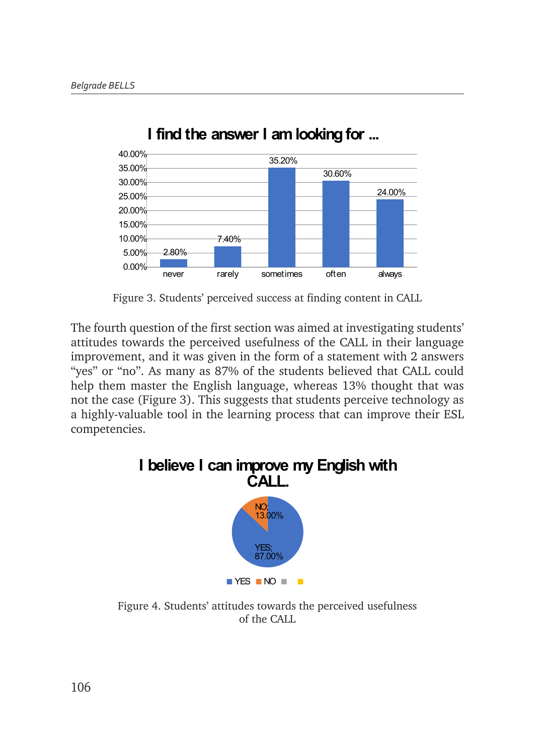

**I find the answer I am looking for ... I find the answer I am looking for ...** 

Figure 3. Students' perceived success at finding content in CALL Figure 3. Students' perceived success at finding content in CALL

The fourth question of the first section was aimed at investigating students' attitudes towards the perceived usefulness of the CALL in their language improvement, and it was given in the form of a statement with 2 answers perceived usefulness of the CALL in their language improvement, and it was given in the form of a "yes" or "no". As many as 87% of the students believed that CALL could help them master the English language, whereas 13% thought that was not the case (Figure 3). This suggests that students perceive technology as a highly-valuable tool in the learning process that can improve their ESL competencies. improvement, and it was given in the form of a statement with 2 answers



Figure 4. Students' attitudes towards the perceived usefulness of the CALL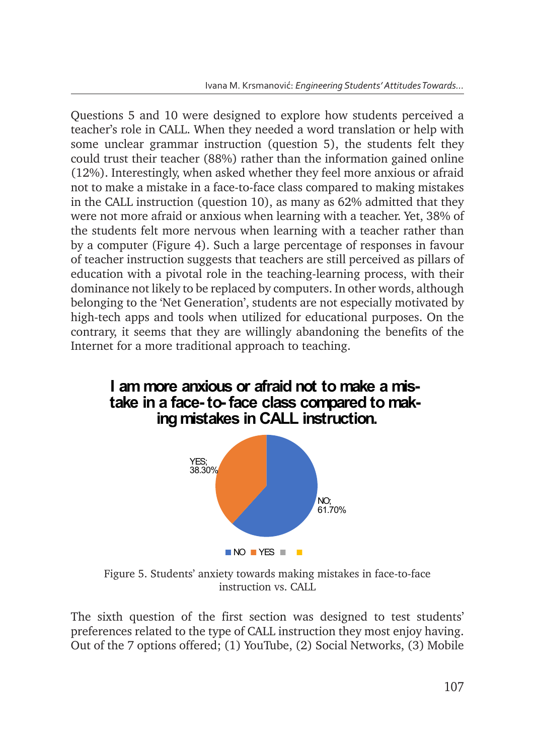Questions 5 and 10 were designed to explore how students perceived a teacher's role in CALL. When they needed a word translation or help with some unclear grammar instruction (question 5), the students felt they could trust their teacher (88%) rather than the information gained online (12%). Interestingly, when asked whether they feel more anxious or afraid not to make a mistake in a face-to-face class compared to making mistakes in the CALL instruction (question 10), as many as  $62\%$  admitted that they were not more afraid or anxious when learning with a teacher. Yet, 38% of were not more and a or analogs when rearning with a teacher. Tet, 50% of the students felt more nervous when learning with a teacher rather than by a computer (Figure 4). Such a large percentage of responses in favour of teacher instruction suggests that teachers are still perceived as pillars of education with a pivotal role in the teaching-learning process, with their dominance not likely to be replaced by computers. In other words, although belonging to the 'Net Generation', students are not especially motivated by high-tech apps and tools when utilized for educational purposes. On the contrary, it seems that they are willingly abandoning the benefits of the Internet for a more traditional approach to teaching.



Figure 5. Students' anxiety towards making mistakes in face-to-face instruction vs. CALL

 $\blacksquare$  NO  $\blacksquare$  YES  $\blacksquare$ 

The sixth question of the first section was designed to test students' preferences related to the type of CALL instruction they most enjoy having. Out of the 7 options offered; (1) YouTube, (2) Social Networks, (3) Mobile The sixth question of the first section was designed to test students' preferences related to the type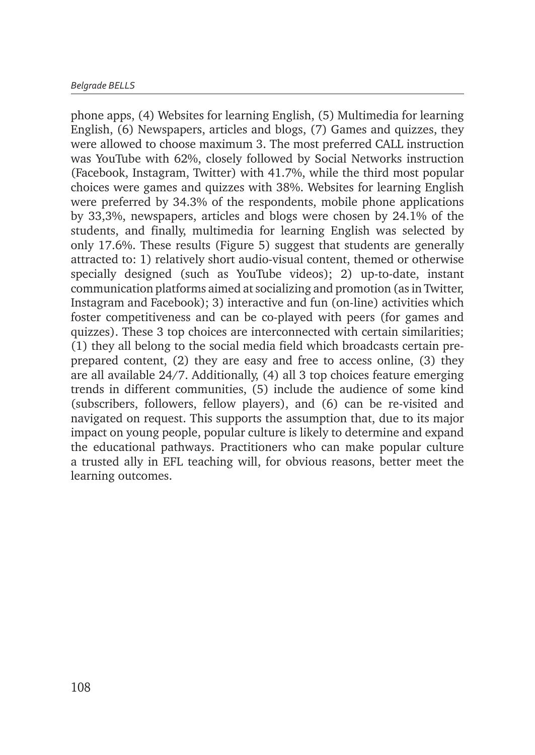phone apps, (4) Websites for learning English, (5) Multimedia for learning English, (6) Newspapers, articles and blogs, (7) Games and quizzes, they were allowed to choose maximum 3. The most preferred CALL instruction was YouTube with 62%, closely followed by Social Networks instruction (Facebook, Instagram, Twitter) with 41.7%, while the third most popular choices were games and quizzes with 38%. Websites for learning English were preferred by 34.3% of the respondents, mobile phone applications by 33,3%, newspapers, articles and blogs were chosen by 24.1% of the students, and finally, multimedia for learning English was selected by only 17.6%. These results (Figure 5) suggest that students are generally attracted to: 1) relatively short audio-visual content, themed or otherwise specially designed (such as YouTube videos); 2) up-to-date, instant communication platforms aimed at socializing and promotion (as in Twitter, Instagram and Facebook); 3) interactive and fun (on-line) activities which foster competitiveness and can be co-played with peers (for games and quizzes). These 3 top choices are interconnected with certain similarities; (1) they all belong to the social media field which broadcasts certain preprepared content, (2) they are easy and free to access online, (3) they are all available 24/7. Additionally, (4) all 3 top choices feature emerging trends in different communities, (5) include the audience of some kind (subscribers, followers, fellow players), and (6) can be re-visited and navigated on request. This supports the assumption that, due to its major impact on young people, popular culture is likely to determine and expand the educational pathways. Practitioners who can make popular culture a trusted ally in EFL teaching will, for obvious reasons, better meet the learning outcomes.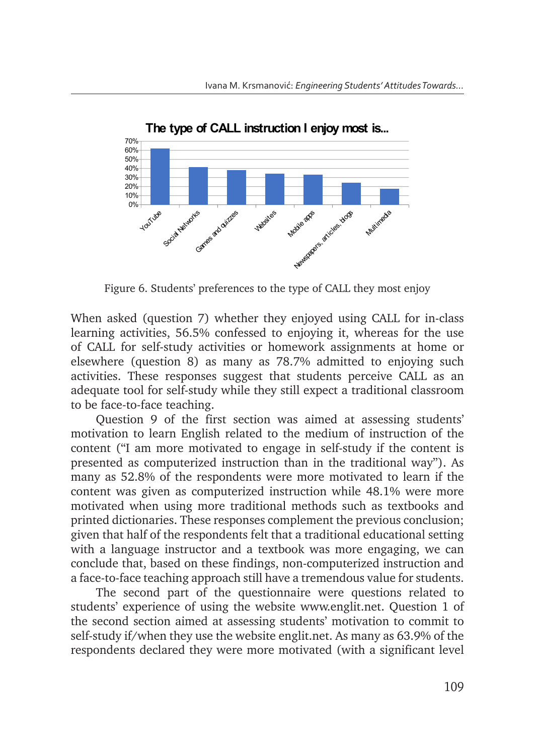

Figure 6. Students' preferences to the type of CALL they most enjoy Figure 6. Students' preferences to the type of CALL they most enjoy

When asked (question 7) whether they enjoyed using CALL for in-class learning activities, 56.5% confessed to enjoying it, whereas for the use of CALL for self-study activities or homework assignments at home or elsewhere (question 8) as many as 78.7% admitted to enjoying such activities. These responses suggest that students perceive CALL as an adequate tool for self-study while they still expect a traditional classroom to be face-to-face teaching. The content of the content ( $\alpha$ 

Question 9 of the first section was aimed at assessing students' motivation to learn English related to the medium of instruction of the content ("I am more motivated to engage in self-study if the content is presented as computerized instruction than in the traditional way"). As many as 52.8% of the respondents were more motivated to learn if the content was given as computerized instruction while 48.1% were more motivated when using more traditional methods such as textbooks and printed dictionaries. These responses complement the previous conclusion; given that half of the respondents felt that a traditional educational setting with a language instructor and a textbook was more engaging, we can conclude that, based on these findings, non-computerized instruction and a face-to-face teaching approach still have a tremendous value for students.

The second part of the questionnaire were questions related to students' experience of using the website www.englit.net. Question 1 of the second section aimed at assessing students' motivation to commit to self-study if/when they use the website englit.net. As many as 63.9% of the respondents declared they were more motivated (with a significant level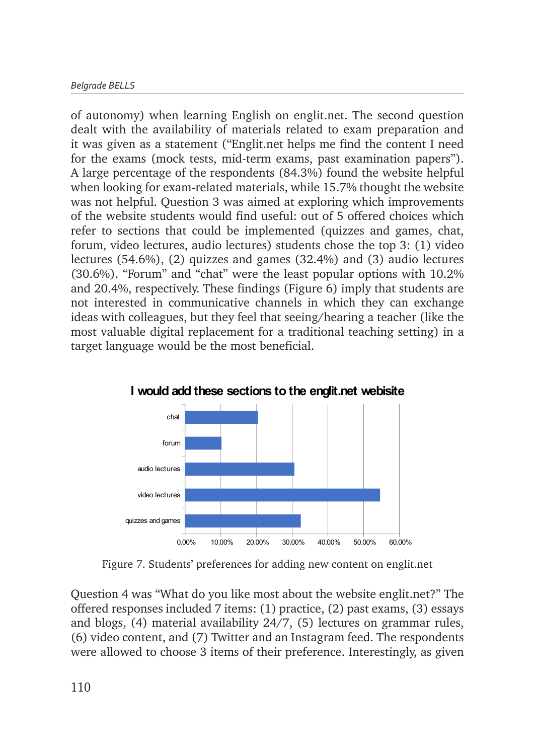of autonomy) when learning English on englit.net. The second question dealt with the availability of materials related to exam preparation and it was given as a statement ("Englit.net helps me find the content I need for the exams (mock tests, mid-term exams, past examination papers"). A large percentage of the respondents (84.3%) found the website helpful when looking for exam-related materials, while 15.7% thought the website was not helpful. Question 3 was aimed at exploring which improvements of the website students would find useful: out of 5 offered choices which refer to sections that could be implemented (quizzes and games, chat, forum, video lectures, audio lectures) students chose the top 3: (1) video lectures (54.6%), (2) quizzes and games (32.4%) and (3) audio lectures (30.6%). "Forum" and "chat" were the least popular options with 10.2% and 20.4%, respectively. These findings (Figure 6) imply that students are not interested in communicative channels in which they can exchange ideas with colleagues, but they feel that seeing/hearing a teacher (like the most valuable digital replacement for a traditional teaching setting) in a target language would be the most beneficial.



**I would add these sections to the englit.net webisite**

Figure 7. Students' preferences for adding new content on englit.net Figure 7. Students' preferences for adding new content on englit.net

Question 4 was "What do you like most about the website englit.net?" The offered responses included 7 items:  $(1)$  practice,  $(2)$  past exams,  $(3)$  essays and blogs,  $(4)$  material availability  $24/7$ ,  $(5)$  lectures on grammar rules, (6) video content, and (7) Twitter and an Instagram feed. The respondents were allowed to choose 3 items of their preference. Interestingly, as given most likely interesting  $\frac{1}{\sqrt{1}}$  material availability 24/7 with  $\frac{1}{\sqrt{1}}$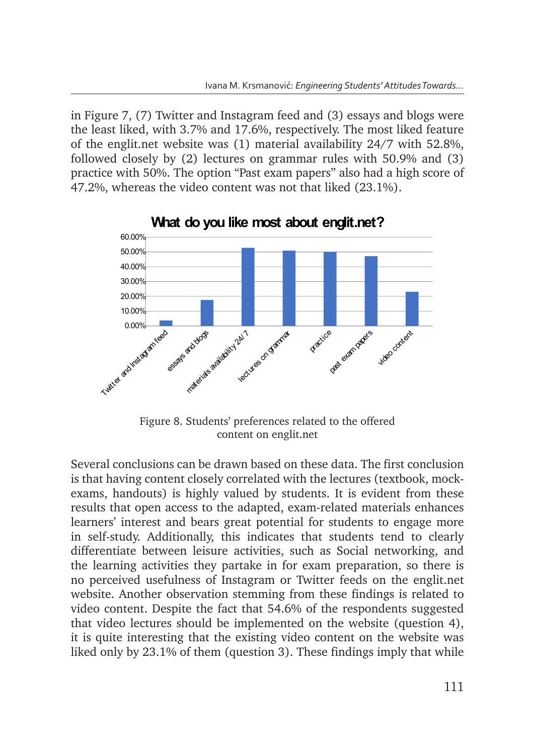in Figure 7, (7) Twitter and Instagram feed and (3) essays and blogs were the least liked, with 3.7% and 17.6%, respectively. The most liked feature of the englit.net website was (1) material availability 24/7 with 52.8%, followed closely by (2) lectures on grammar rules with 50.9% and (3) practice with 50%. The option "Past exam papers" also had a high score of 47.2%, whereas the video content was not that liked (23.1%).



**What do you like most about englit.net?**

Figure 8. Students' preferences related to the offered content on englit.net

Several conclusions can be drawn based on these data. The first conclusion is that having content closely correlated with the lectures (textbook, mockexams, handouts) is highly valued by students. It is evident from these results that open access to the adapted, exam-related materials enhances that students and the students of the total students in the students of the contract extending to contract the contract extend to contract to contract to contract the students of engage more in self-study. Additionally, this indicates that students tend to clearly differentiate between leisure activities, such as Social networking, and the learning activities they partake in for exam preparation, so there is no perceived usefulness of Instagram or Twitter feeds on the englit.net no perceived usefulness of Instagram or Twitter feeds on the englit.net<br>website. Another observation stemming from these findings is related to video content. Despite the fact that 54.6% of the respondents suggested that video lectures should be implemented on the website (question 4), it is quite interesting that the existing video content on the website was it is quite interesting that the existing video content on the website was liked only by 23.1% of them (question 3). These findings imply that while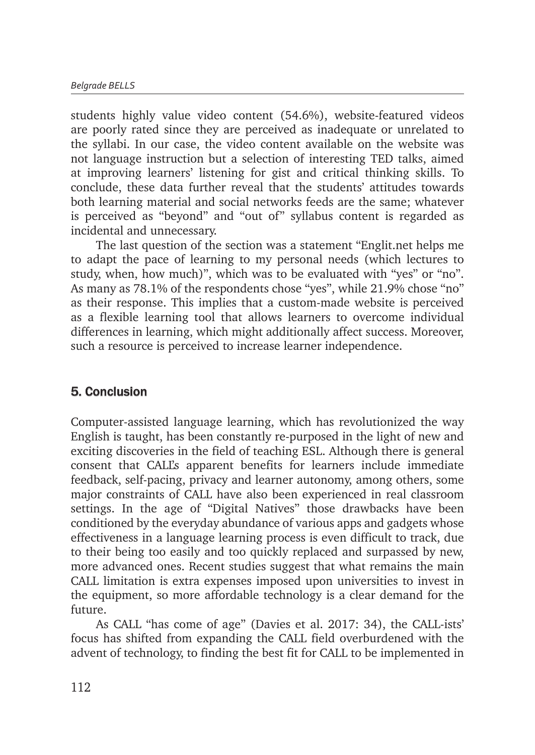students highly value video content (54.6%), website-featured videos are poorly rated since they are perceived as inadequate or unrelated to the syllabi. In our case, the video content available on the website was not language instruction but a selection of interesting TED talks, aimed at improving learners' listening for gist and critical thinking skills. To conclude, these data further reveal that the students' attitudes towards both learning material and social networks feeds are the same; whatever is perceived as "beyond" and "out of" syllabus content is regarded as incidental and unnecessary.

The last question of the section was a statement "Englit.net helps me to adapt the pace of learning to my personal needs (which lectures to study, when, how much)", which was to be evaluated with "yes" or "no". As many as 78.1% of the respondents chose "yes", while 21.9% chose "no" as their response. This implies that a custom-made website is perceived as a flexible learning tool that allows learners to overcome individual differences in learning, which might additionally affect success. Moreover, such a resource is perceived to increase learner independence.

## 5. Conclusion

Computer-assisted language learning, which has revolutionized the way English is taught, has been constantly re-purposed in the light of new and exciting discoveries in the field of teaching ESL. Although there is general consent that CALL's apparent benefits for learners include immediate feedback, self-pacing, privacy and learner autonomy, among others, some major constraints of CALL have also been experienced in real classroom settings. In the age of "Digital Natives" those drawbacks have been conditioned by the everyday abundance of various apps and gadgets whose effectiveness in a language learning process is even difficult to track, due to their being too easily and too quickly replaced and surpassed by new, more advanced ones. Recent studies suggest that what remains the main CALL limitation is extra expenses imposed upon universities to invest in the equipment, so more affordable technology is a clear demand for the future.

As CALL "has come of age" (Davies et al. 2017: 34), the CALL-ists' focus has shifted from expanding the CALL field overburdened with the advent of technology, to finding the best fit for CALL to be implemented in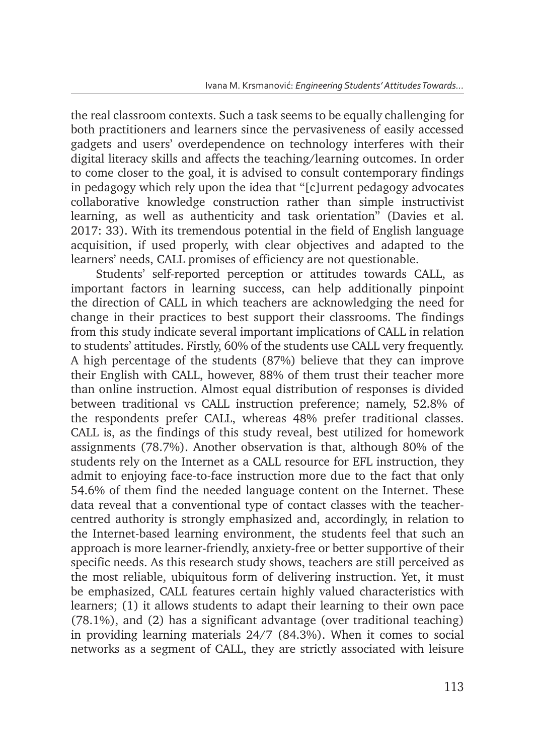the real classroom contexts. Such a task seems to be equally challenging for both practitioners and learners since the pervasiveness of easily accessed gadgets and users' overdependence on technology interferes with their digital literacy skills and affects the teaching/learning outcomes. In order to come closer to the goal, it is advised to consult contemporary findings in pedagogy which rely upon the idea that "[c]urrent pedagogy advocates collaborative knowledge construction rather than simple instructivist learning, as well as authenticity and task orientation" (Davies et al. 2017: 33). With its tremendous potential in the field of English language acquisition, if used properly, with clear objectives and adapted to the learners' needs, CALL promises of efficiency are not questionable.

Students' self-reported perception or attitudes towards CALL, as important factors in learning success, can help additionally pinpoint the direction of CALL in which teachers are acknowledging the need for change in their practices to best support their classrooms. The findings from this study indicate several important implications of CALL in relation to students' attitudes. Firstly, 60% of the students use CALL very frequently. A high percentage of the students (87%) believe that they can improve their English with CALL, however, 88% of them trust their teacher more than online instruction. Almost equal distribution of responses is divided between traditional vs CALL instruction preference; namely, 52.8% of the respondents prefer CALL, whereas 48% prefer traditional classes. CALL is, as the findings of this study reveal, best utilized for homework assignments (78.7%). Another observation is that, although 80% of the students rely on the Internet as a CALL resource for EFL instruction, they admit to enjoying face-to-face instruction more due to the fact that only 54.6% of them find the needed language content on the Internet. These data reveal that a conventional type of contact classes with the teachercentred authority is strongly emphasized and, accordingly, in relation to the Internet-based learning environment, the students feel that such an approach is more learner-friendly, anxiety-free or better supportive of their specific needs. As this research study shows, teachers are still perceived as the most reliable, ubiquitous form of delivering instruction. Yet, it must be emphasized, CALL features certain highly valued characteristics with learners; (1) it allows students to adapt their learning to their own pace (78.1%), and (2) has a significant advantage (over traditional teaching) in providing learning materials 24/7 (84.3%). When it comes to social networks as a segment of CALL, they are strictly associated with leisure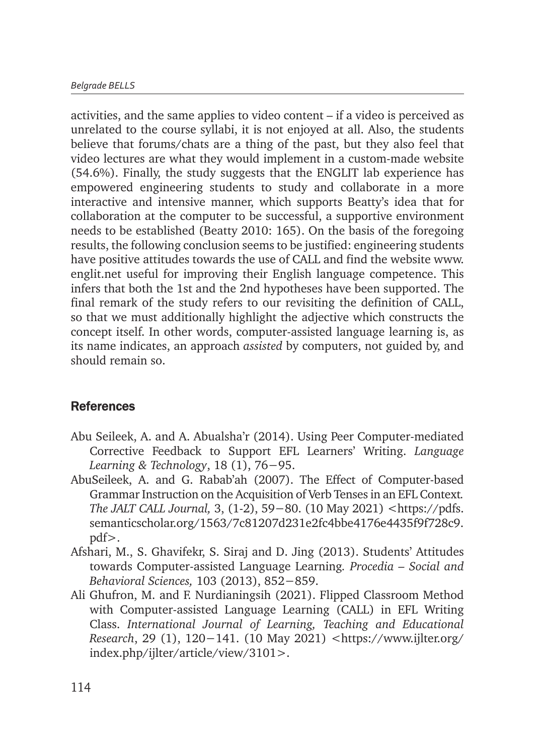activities, and the same applies to video content – if a video is perceived as unrelated to the course syllabi, it is not enjoyed at all. Also, the students believe that forums/chats are a thing of the past, but they also feel that video lectures are what they would implement in a custom-made website (54.6%). Finally, the study suggests that the ENGLIT lab experience has empowered engineering students to study and collaborate in a more interactive and intensive manner, which supports Beatty's idea that for collaboration at the computer to be successful, a supportive environment needs to be established (Beatty 2010: 165). On the basis of the foregoing results, the following conclusion seems to be justified: engineering students have positive attitudes towards the use of CALL and find the website www. englit.net useful for improving their English language competence. This infers that both the 1st and the 2nd hypotheses have been supported. The final remark of the study refers to our revisiting the definition of CALL, so that we must additionally highlight the adjective which constructs the concept itself. In other words, computer-assisted language learning is, as its name indicates, an approach *assisted* by computers, not guided by, and should remain so.

#### **References**

- Abu Seileek, A. and A. Abualsha'r (2014). Using Peer Computer-mediated Corrective Feedback to Support EFL Learners' Writing. *Language Learning & Technology*, 18 (1), 76−95.
- AbuSeileek, A. and G. Rabab'ah (2007). The Effect of Computer-based Grammar Instruction on the Acquisition of Verb Tenses in an EFL Context*. The JALT CALL Journal,* 3, (1-2), 59−80. (10 May 2021) <https://pdfs. semanticscholar.org/1563/7c81207d231e2fc4bbe4176e4435f9f728c9. pdf>.
- Afshari, M., S. Ghavifekr, S. Siraj and D. Jing (2013). Students' Attitudes towards Computer-assisted Language Learning*. Procedia – Social and Behavioral Sciences,* 103 (2013), 852−859.
- Ali Ghufron, M. and F. Nurdianingsih (2021). Flipped Classroom Method with Computer-assisted Language Learning (CALL) in EFL Writing Class. *International Journal of Learning, Teaching and Educational Research*, 29 (1), 120−141. (10 May 2021) <https://www.ijlter.org/ index.php/ijlter/article/view/3101>.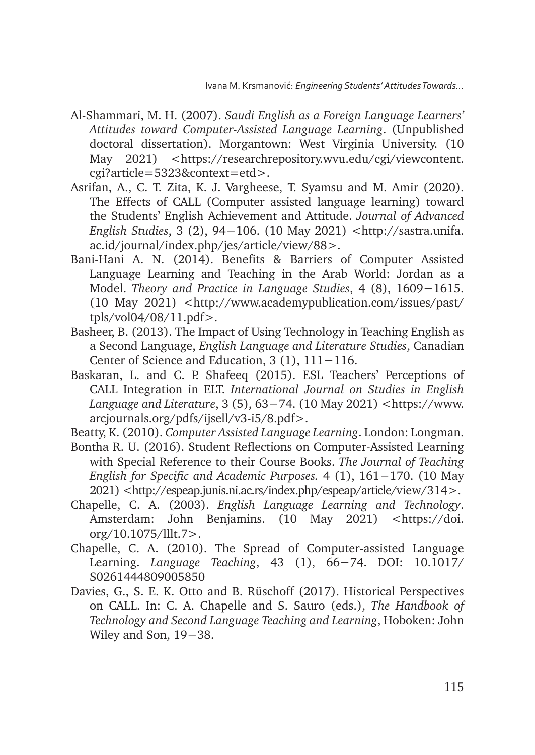- Al-Shammari, M. H. (2007). *Saudi English as a Foreign Language Learners' Attitudes toward Computer-Assisted Language Learning*. (Unpublished doctoral dissertation). Morgantown: West Virginia University. (10 May 2021) <https://researchrepository.wvu.edu/cgi/viewcontent. cgi?article=5323&context=etd>.
- Asrifan, A., C. T. Zita, K. J. Vargheese, T. Syamsu and M. Amir (2020). The Effects of CALL (Computer assisted language learning) toward the Students' English Achievement and Attitude. *Journal of Advanced English Studies*, 3 (2), 94−106. (10 May 2021) <http://sastra.unifa. ac.id/journal/index.php/jes/article/view/88>.
- Bani-Hani A. N. (2014). Benefits & Barriers of Computer Assisted Language Learning and Teaching in the Arab World: Jordan as a Model. *Theory and Practice in Language Studies*, 4 (8), 1609−1615. (10 May 2021) <http://www.academypublication.com/issues/past/ tpls/vol04/08/11.pdf>.
- Basheer, B. (2013). The Impact of Using Technology in Teaching English as a Second Language, *English Language and Literature Studies*, Canadian Center of Science and Education, 3 (1), 111−116.
- Baskaran, L. and C. P. Shafeeq (2015). ESL Teachers' Perceptions of CALL Integration in ELT. *International Journal on Studies in English Language and Literature*, 3 (5), 63−74. (10 May 2021) <https://www. arcjournals.org/pdfs/ijsell/v3-i5/8.pdf>.
- Beatty, K. (2010). *Computer Assisted Language Learning*. London: Longman.
- Bontha R. U. (2016). Student Reflections on Computer-Assisted Learning with Special Reference to their Course Books. *The Journal of Teaching English for Specific and Academic Purposes.* 4 (1), 161−170. (10 May 2021) <http://espeap.junis.ni.ac.rs/index.php/espeap/article/view/314>.
- Chapelle, C. A. (2003). *English Language Learning and Technology*. Amsterdam: John Benjamins. (10 May 2021) <https://doi. org/10.1075/lllt.7>.
- Chapelle, C. A. (2010). The Spread of Computer-assisted Language Learning. *Language Teaching*, 43 (1), 66−74. DOI: 10.1017/ S0261444809005850
- Davies, G., S. E. K. Otto and B. Rüschoff (2017). Historical Perspectives on CALL. In: C. A. Chapelle and S. Sauro (eds.), *The Handbook of Technology and Second Language Teaching and Learning*, Hoboken: John Wiley and Son, 19−38.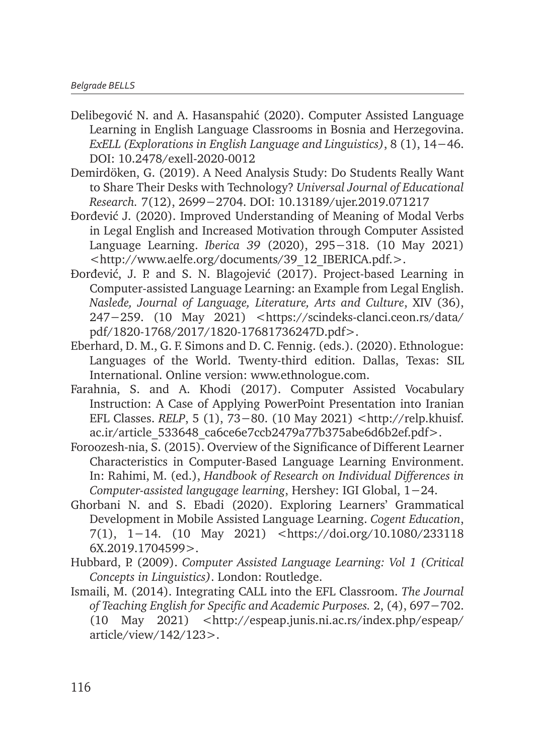- Delibegović N. and A. Hasanspahić (2020). Computer Assisted Language Learning in English Language Classrooms in Bosnia and Herzegovina. *ExELL (Explorations in English Language and Linguistics)*, 8 (1), 14−46. DOI: 10.2478/exell-2020-0012
- Demirdöken, G. (2019). A Need Analysis Study: Do Students Really Want to Share Their Desks with Technology? *Universal Journal of Educational Research.* 7(12), 2699−2704. DOI: 10.13189/ujer.2019.071217
- Ðorđević J. (2020). Improved Understanding of Meaning of Modal Verbs in Legal English and Increased Motivation through Computer Assisted Language Learning. *Iberica 39* (2020), 295−318. (10 May 2021) <http://www.aelfe.org/documents/39\_12\_IBERICA.pdf.>.
- Ðorđević, J. P. and S. N. Blagojević (2017). Project-based Learning in Computer-assisted Language Learning: an Example from Legal English. *Nasleđe, Journal of Language, Literature, Arts and Culture*, XIV (36), 247−259. (10 May 2021) <https://scindeks-clanci.ceon.rs/data/ pdf/1820-1768/2017/1820-17681736247D.pdf>.
- Eberhard, D. M., G. F. Simons and D. C. Fennig. (eds.). (2020). Ethnologue: Languages of the World. Twenty-third edition. Dallas, Texas: SIL International. Online version: www.ethnologue.com.
- Farahnia, S. and A. Khodi (2017). Computer Assisted Vocabulary Instruction: A Case of Applying PowerPoint Presentation into Iranian EFL Classes. *RELP*, 5 (1), 73−80. (10 May 2021) <http://relp.khuisf. ac.ir/article\_533648\_ca6ce6e7ccb2479a77b375abe6d6b2ef.pdf>.
- Foroozesh-nia, S. (2015). Overview of the Significance of Different Learner Characteristics in Computer-Based Language Learning Environment. In: Rahimi, M. (ed.), *Handbook of Research on Individual Differences in Computer-assisted langugage learning*, Hershey: IGI Global, 1−24.
- Ghorbani N. and S. Ebadi (2020). Exploring Learners' Grammatical Development in Mobile Assisted Language Learning. *Cogent Education*, 7(1), 1−14. (10 May 2021) <https://doi.org/10.1080/233118 6X.2019.1704599>.
- Hubbard, P. (2009). *Computer Assisted Language Learning: Vol 1 (Critical Concepts in Linguistics)*. London: Routledge.
- Ismaili, M. (2014). Integrating CALL into the EFL Classroom. *The Journal of Teaching English for Specific and Academic Purposes.* 2, (4), 697−702. (10 May 2021) <http://espeap.junis.ni.ac.rs/index.php/espeap/ article/view/142/123>.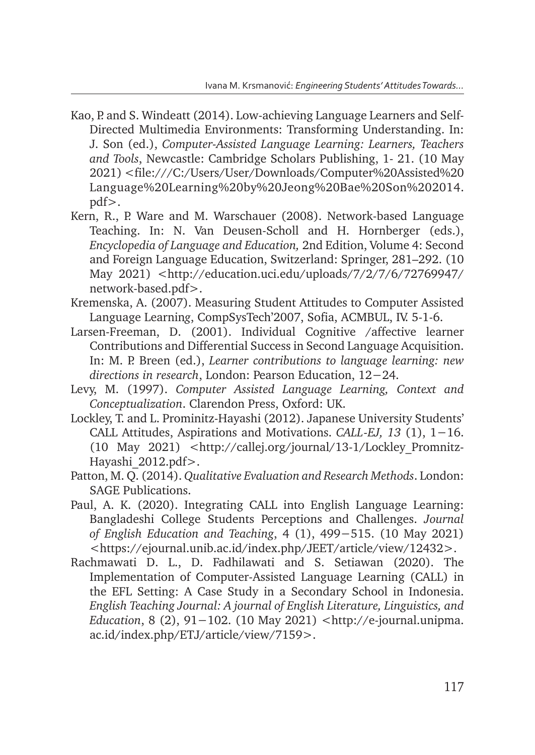- Kao, P. and S. Windeatt (2014). Low-achieving Language Learners and Self-Directed Multimedia Environments: Transforming Understanding. In: J. Son (ed.), *Computer-Assisted Language Learning: Learners, Teachers and Tools*, Newcastle: Cambridge Scholars Publishing, 1- 21. (10 May 2021) <file:///C:/Users/User/Downloads/Computer%20Assisted%20 Language%20Learning%20by%20Jeong%20Bae%20Son%202014. pdf>.
- Kern, R., P. Ware and M. Warschauer (2008). Network-based Language Teaching. In: N. Van Deusen-Scholl and H. Hornberger (eds.), *Encyclopedia of Language and Education,* 2nd Edition, Volume 4: Second and Foreign Language Education, Switzerland: Springer, 281–292. (10 May 2021) <http://education.uci.edu/uploads/7/2/7/6/72769947/ network-based.pdf>.
- Kremenska, A. (2007). Measuring Student Attitudes to Computer Assisted Language Learnin*g*, CompSysTech'2007, Sofia, ACMBUL, IV. 5-1-6.
- Larsen-Freeman, D. (2001). Individual Cognitive /affective learner Contributions and Differential Success in Second Language Acquisition. In: M. P. Breen (ed.), *Learner contributions to language learning: new directions in research*, London: Pearson Education, 12−24.
- Levy, M. (1997). *Computer Assisted Language Learning, Context and Conceptualization*. Clarendon Press, Oxford: UK.
- Lockley, T. and L. Prominitz-Hayashi (2012). Japanese University Students' CALL Attitudes, Aspirations and Motivations. *CALL-EJ, 13* (1), 1−16. (10 May 2021) <http://callej.org/journal/13-1/Lockley\_Promnitz-Hayashi\_2012.pdf>.
- Patton, M. Q. (2014). *Qualitative Evaluation and Research Methods*. London: SAGE Publications.
- Paul, A. K. (2020). Integrating CALL into English Language Learning: Bangladeshi College Students Perceptions and Challenges. *Journal of English Education and Teaching*, 4 (1), 499−515. (10 May 2021) <https://ejournal.unib.ac.id/index.php/JEET/article/view/12432>.
- Rachmawati D. L., D. Fadhilawati and S. Setiawan (2020). The Implementation of Computer-Assisted Language Learning (CALL) in the EFL Setting: A Case Study in a Secondary School in Indonesia. *English Teaching Journal: A journal of English Literature, Linguistics, and Education*, 8 (2), 91−102. (10 May 2021) <http://e-journal.unipma. ac.id/index.php/ETJ/article/view/7159>.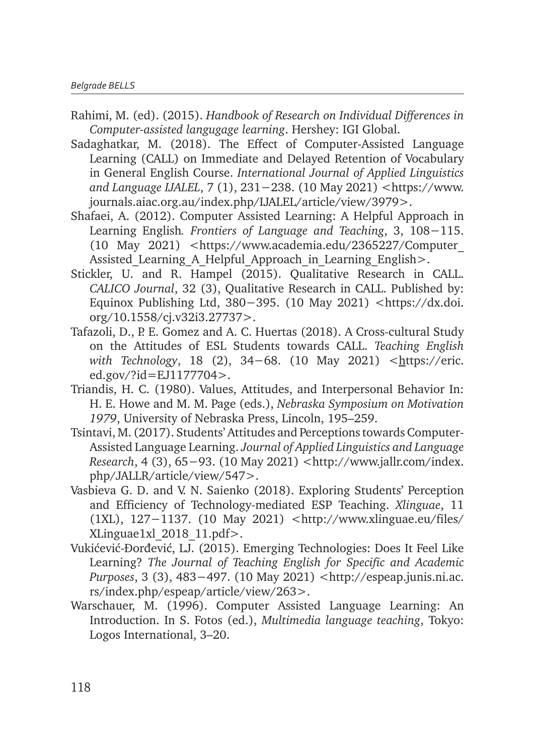- Rahimi, M. (ed). (2015). *Handbook of Research on Individual Differences in Computer-assisted langugage learning*. Hershey: IGI Global.
- Sadaghatkar, M. (2018). The Effect of Computer-Assisted Language Learning (CALL) on Immediate and Delayed Retention of Vocabulary in General English Course. *International Journal of Applied Linguistics and Language IJALEL*, 7 (1), 231−238. (10 May 2021) <https://www. journals.aiac.org.au/index.php/IJALEL/article/view/3979>.
- Shafaei, A. (2012). Computer Assisted Learning: A Helpful Approach in Learning English*. Frontiers of Language and Teaching*, 3, 108−115. (10 May 2021) <https://www.academia.edu/2365227/Computer\_ Assisted Learning A Helpful Approach in Learning English>.
- Stickler, U. and R. Hampel (2015). Qualitative Research in CALL. *CALICO Journal*, 32 (3), Qualitative Research in CALL. Published by: Equinox Publishing Ltd, 380−395. (10 May 2021) <https://dx.doi. org/10.1558/cj.v32i3.27737>.
- Tafazoli, D., P. E. Gomez and A. C. Huertas (2018). A Cross-cultural Study on the Attitudes of ESL Students towards CALL. *Teaching English with Technology*, 18 (2), 34–68. (10 May 2021) <https://eric. ed.gov/?id=EJ1177704>.
- Triandis, H. C. (1980). Values, Attitudes, and Interpersonal Behavior In: H. E. Howe and M. M. Page (eds.), *Nebraska Symposium on Motivation 1979*, University of Nebraska Press, Lincoln, 195–259.
- Tsintavi, M. (2017). Students' Attitudes and Perceptions towards Computer-Assisted Language Learning. *Journal of Applied Linguistics and Language Research*, 4 (3), 65−93. (10 May 2021) <http://www.jallr.com/index. php/JALLR/article/view/547>.
- Vasbieva G. D. and V. N. Saienko (2018). Exploring Students' Perception and Efficiency of Technology-mediated ESP Teaching. *Xlinguae*, 11 (1XL), 127−1137. (10 May 2021) <http://www.xlinguae.eu/files/ XLinguae1xl\_2018\_11.pdf>.
- Vukićević-Ðorđević, LJ. (2015). Emerging Technologies: Does It Feel Like Learning? *The Journal of Teaching English for Specific and Academic Purposes*, 3 (3), 483−497. (10 May 2021) <http://espeap.junis.ni.ac. rs/index.php/espeap/article/view/263>.
- Warschauer, M. (1996). Computer Assisted Language Learning: An Introduction. In S. Fotos (ed.), *Multimedia language teaching*, Tokyo: Logos International, 3–20.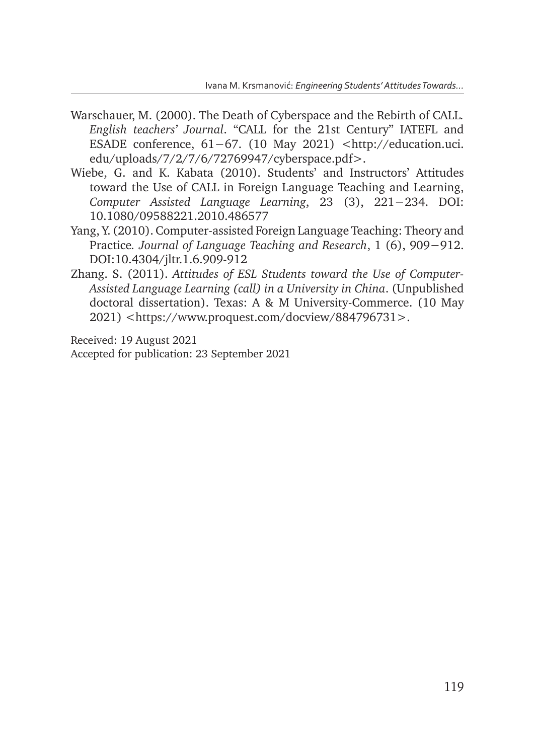- Warschauer, M. (2000). The Death of Cyberspace and the Rebirth of CALL*. English teachers' Journal*. "CALL for the 21st Century" IATEFL and ESADE conference, 61−67. (10 May 2021) <http://education.uci. edu/uploads/7/2/7/6/72769947/cyberspace.pdf>.
- Wiebe, G. and K. Kabata (2010). Students' and Instructors' Attitudes toward the Use of CALL in Foreign Language Teaching and Learning, *Computer Assisted Language Learning*, 23 (3), 221−234. DOI: 10.1080/09588221.2010.486577
- Yang, Y. (2010). Computer-assisted Foreign Language Teaching: Theory and Practice*. Journal of Language Teaching and Research*, 1 (6), 909−912. DOI:10.4304/jltr.1.6.909-912
- Zhang. S. (2011). *Attitudes of ESL Students toward the Use of Computer-Assisted Language Learning (call) in a University in China*. (Unpublished doctoral dissertation). Texas: A & M University-Commerce. (10 May 2021) <https://www.proquest.com/docview/884796731>.

Received: 19 August 2021 Accepted for publication: 23 September 2021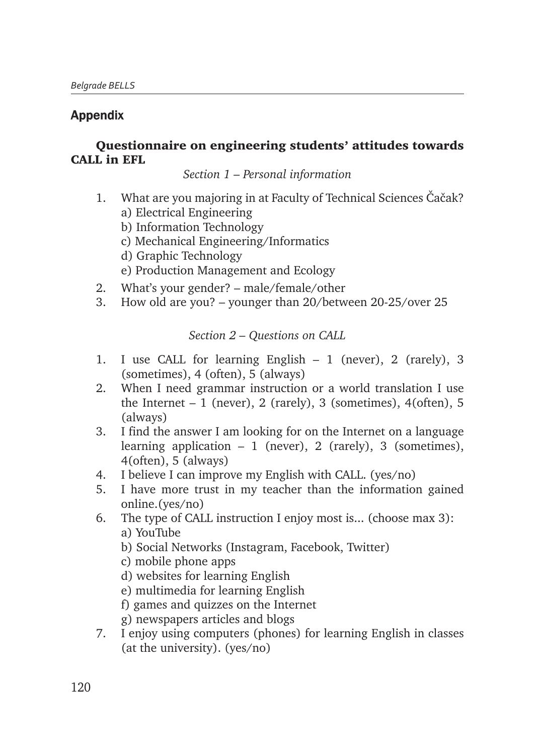#### Appendix

#### Questionnaire on engineering students' attitudes towards CALL in EFL

*Section 1 – Personal information*

- 1. What are you majoring in at Faculty of Technical Sciences Čačak?
	- a) Electrical Engineering
	- b) Information Technology
	- c) Mechanical Engineering/Informatics
	- d) Graphic Technology
	- e) Production Management and Ecology
- 2. What's your gender? male/female/other
- 3. How old are you? younger than 20/between 20-25/over 25

*Section 2 – Questions on CALL*

- 1. I use CALL for learning English 1 (never), 2 (rarely), 3 (sometimes), 4 (often), 5 (always)
- 2. When I need grammar instruction or a world translation I use the Internet – 1 (never), 2 (rarely), 3 (sometimes), 4(often), 5 (always)
- 3. I find the answer I am looking for on the Internet on a language learning application  $-1$  (never), 2 (rarely), 3 (sometimes), 4(often), 5 (always)
- 4. I believe I can improve my English with CALL. (yes/no)
- 5. I have more trust in my teacher than the information gained online.(yes/no)
- 6. The type of CALL instruction I enjoy most is... (choose max 3): a) YouTube
	- b) Social Networks (Instagram, Facebook, Twitter)
	- c) mobile phone apps
	- d) websites for learning English
	- e) multimedia for learning English
	- f) games and quizzes on the Internet
	- g) newspapers articles and blogs
- 7. I enjoy using computers (phones) for learning English in classes (at the university). (yes/no)